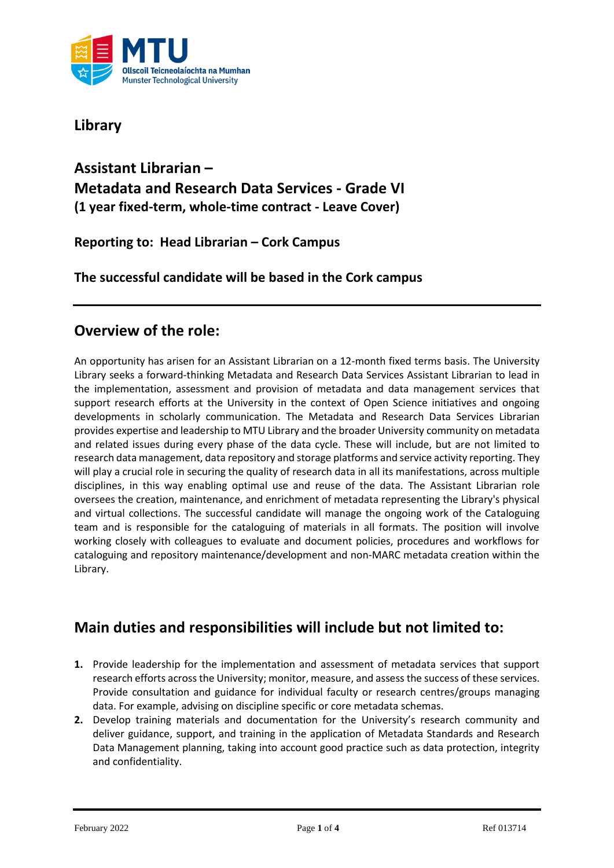

**Library**

## **Assistant Librarian – Metadata and Research Data Services - Grade VI (1 year fixed-term, whole-time contract - Leave Cover)**

**Reporting to: Head Librarian – Cork Campus**

**The successful candidate will be based in the Cork campus**

### **Overview of the role:**

An opportunity has arisen for an Assistant Librarian on a 12-month fixed terms basis. The University Library seeks a forward-thinking Metadata and Research Data Services Assistant Librarian to lead in the implementation, assessment and provision of metadata and data management services that support research efforts at the University in the context of Open Science initiatives and ongoing developments in scholarly communication. The Metadata and Research Data Services Librarian provides expertise and leadership to MTU Library and the broader University community on metadata and related issues during every phase of the data cycle. These will include, but are not limited to research data management, data repository and storage platforms and service activity reporting. They will play a crucial role in securing the quality of research data in all its manifestations, across multiple disciplines, in this way enabling optimal use and reuse of the data. The Assistant Librarian role oversees the creation, maintenance, and enrichment of metadata representing the Library's physical and virtual collections. The successful candidate will manage the ongoing work of the Cataloguing team and is responsible for the cataloguing of materials in all formats. The position will involve working closely with colleagues to evaluate and document policies, procedures and workflows for cataloguing and repository maintenance/development and non-MARC metadata creation within the Library.

### **Main duties and responsibilities will include but not limited to:**

- **1.** Provide leadership for the implementation and assessment of metadata services that support research efforts across the University; monitor, measure, and assess the success of these services. Provide consultation and guidance for individual faculty or research centres/groups managing data. For example, advising on discipline specific or core metadata schemas.
- **2.** Develop training materials and documentation for the University's research community and deliver guidance, support, and training in the application of Metadata Standards and Research Data Management planning, taking into account good practice such as data protection, integrity and confidentiality.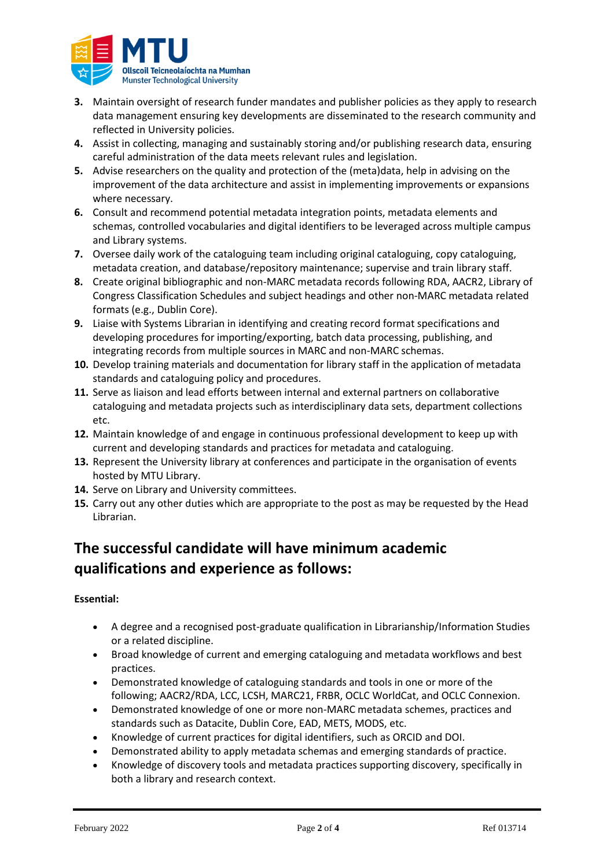

- **3.** Maintain oversight of research funder mandates and publisher policies as they apply to research data management ensuring key developments are disseminated to the research community and reflected in University policies.
- **4.** Assist in collecting, managing and sustainably storing and/or publishing research data, ensuring careful administration of the data meets relevant rules and legislation.
- **5.** Advise researchers on the quality and protection of the (meta)data, help in advising on the improvement of the data architecture and assist in implementing improvements or expansions where necessary.
- **6.** Consult and recommend potential metadata integration points, metadata elements and schemas, controlled vocabularies and digital identifiers to be leveraged across multiple campus and Library systems.
- **7.** Oversee daily work of the cataloguing team including original cataloguing, copy cataloguing, metadata creation, and database/repository maintenance; supervise and train library staff.
- **8.** Create original bibliographic and non-MARC metadata records following RDA, AACR2, Library of Congress Classification Schedules and subject headings and other non-MARC metadata related formats (e.g., Dublin Core).
- **9.** Liaise with Systems Librarian in identifying and creating record format specifications and developing procedures for importing/exporting, batch data processing, publishing, and integrating records from multiple sources in MARC and non-MARC schemas.
- **10.** Develop training materials and documentation for library staff in the application of metadata standards and cataloguing policy and procedures.
- **11.** Serve as liaison and lead efforts between internal and external partners on collaborative cataloguing and metadata projects such as interdisciplinary data sets, department collections etc.
- **12.** Maintain knowledge of and engage in continuous professional development to keep up with current and developing standards and practices for metadata and cataloguing.
- **13.** Represent the University library at conferences and participate in the organisation of events hosted by MTU Library.
- **14.** Serve on Library and University committees.
- **15.** Carry out any other duties which are appropriate to the post as may be requested by the Head Librarian.

# **The successful candidate will have minimum academic qualifications and experience as follows:**

#### **Essential:**

- A degree and a recognised post-graduate qualification in Librarianship/Information Studies or a related discipline.
- Broad knowledge of current and emerging cataloguing and metadata workflows and best practices.
- Demonstrated knowledge of cataloguing standards and tools in one or more of the following; AACR2/RDA, LCC, LCSH, MARC21, FRBR, OCLC WorldCat, and OCLC Connexion.
- Demonstrated knowledge of one or more non-MARC metadata schemes, practices and standards such as Datacite, Dublin Core, EAD, METS, MODS, etc.
- Knowledge of current practices for digital identifiers, such as ORCID and DOI.
- Demonstrated ability to apply metadata schemas and emerging standards of practice.
- Knowledge of discovery tools and metadata practices supporting discovery, specifically in both a library and research context.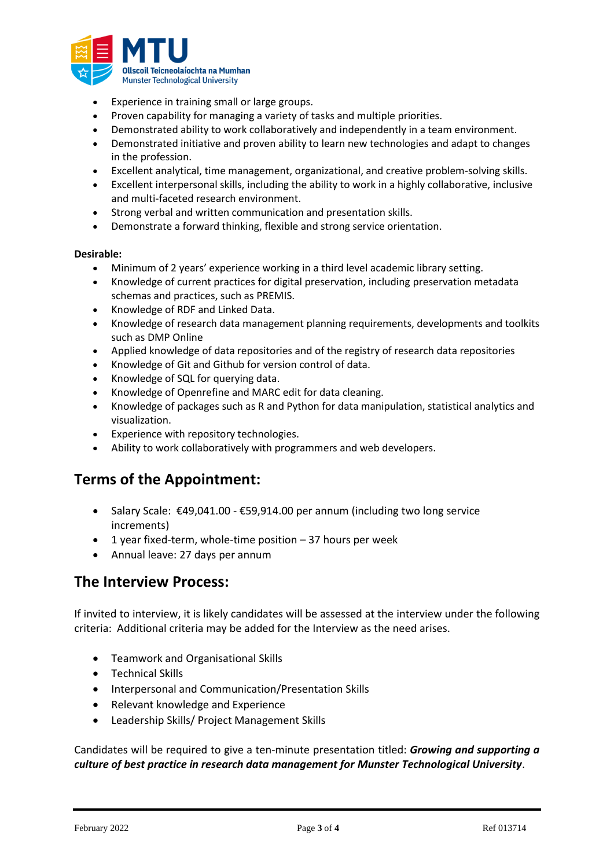

- Experience in training small or large groups.
- Proven capability for managing a variety of tasks and multiple priorities.
- Demonstrated ability to work collaboratively and independently in a team environment.
- Demonstrated initiative and proven ability to learn new technologies and adapt to changes in the profession.
- Excellent analytical, time management, organizational, and creative problem-solving skills.
- Excellent interpersonal skills, including the ability to work in a highly collaborative, inclusive and multi-faceted research environment.
- Strong verbal and written communication and presentation skills.
- Demonstrate a forward thinking, flexible and strong service orientation.

#### **Desirable:**

- Minimum of 2 years' experience working in a third level academic library setting.
- Knowledge of current practices for digital preservation, including preservation metadata schemas and practices, such as PREMIS.
- Knowledge of RDF and Linked Data.
- Knowledge of research data management planning requirements, developments and toolkits such as DMP Online
- Applied knowledge of data repositories and of the registry of research data repositories
- Knowledge of Git and Github for version control of data.
- Knowledge of SQL for querying data.
- Knowledge of Openrefine and MARC edit for data cleaning.
- Knowledge of packages such as R and Python for data manipulation, statistical analytics and visualization.
- Experience with repository technologies.
- Ability to work collaboratively with programmers and web developers.

### **Terms of the Appointment:**

- Salary Scale: €49,041.00 €59,914.00 per annum (including two long service increments)
- 1 year fixed-term, whole-time position  $-37$  hours per week
- Annual leave: 27 days per annum

### **The Interview Process:**

If invited to interview, it is likely candidates will be assessed at the interview under the following criteria: Additional criteria may be added for the Interview as the need arises.

- Teamwork and Organisational Skills
- Technical Skills
- Interpersonal and Communication/Presentation Skills
- Relevant knowledge and Experience
- Leadership Skills/ Project Management Skills

Candidates will be required to give a ten-minute presentation titled: *Growing and supporting a culture of best practice in research data management for Munster Technological University*.